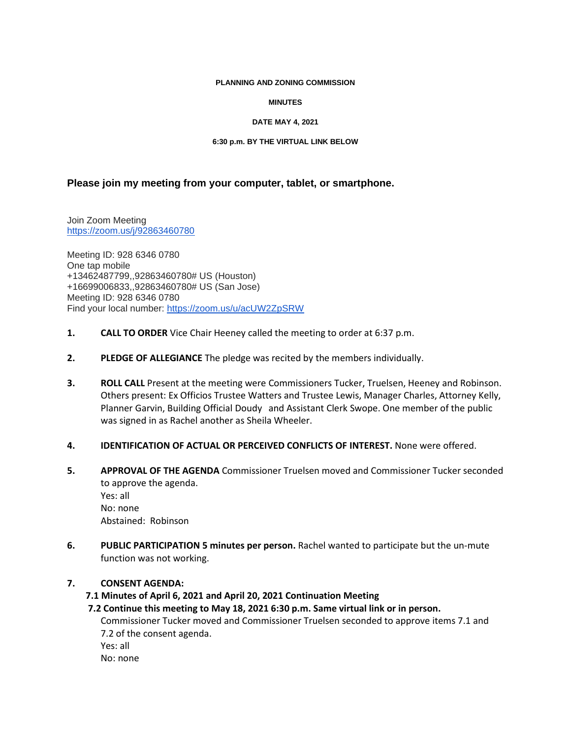#### **PLANNING AND ZONING COMMISSION**

### **MINUTES**

### **DATE MAY 4, 2021**

### **6:30 p.m. BY THE VIRTUAL LINK BELOW**

# **Please join my meeting from your computer, tablet, or smartphone.**

Join Zoom Meeting [https://zoom.us/j/92863460780](https://www.google.com/url?q=https%3A%2F%2Fzoom.us%2Fj%2F92863460780&sa=D&ust=1620165411117000&usg=AOvVaw0A5vEUBugUQCozsv2PbIEG)

Meeting ID: 928 6346 0780 One tap mobile +13462487799,,92863460780# US (Houston) +16699006833,,92863460780# US (San Jose) Meeting ID: 928 6346 0780 Find your local number: [https://zoom.us/u/acUW2ZpSRW](https://www.google.com/url?q=https%3A%2F%2Fzoom.us%2Fu%2FacUW2ZpSRW&sa=D&ust=1620165411118000&usg=AOvVaw05-qDWZAI0A5PZMAyTa2c0)

- **1. CALL TO ORDER** Vice Chair Heeney called the meeting to order at 6:37 p.m.
- **2. PLEDGE OF ALLEGIANCE** The pledge was recited by the members individually.
- **3. ROLL CALL** Present at the meeting were Commissioners Tucker, Truelsen, Heeney and Robinson. Others present: Ex Officios Trustee Watters and Trustee Lewis, Manager Charles, Attorney Kelly, Planner Garvin, Building Official Doudy and Assistant Clerk Swope. One member of the public was signed in as Rachel another as Sheila Wheeler.
- **4. IDENTIFICATION OF ACTUAL OR PERCEIVED CONFLICTS OF INTEREST.** None were offered.
- **5. APPROVAL OF THE AGENDA** Commissioner Truelsen moved and Commissioner Tucker seconded to approve the agenda.

Yes: all No: none Abstained: Robinson

**6. PUBLIC PARTICIPATION 5 minutes per person.** Rachel wanted to participate but the un-mute function was not working.

## **7. CONSENT AGENDA:**

 **7.1 Minutes of April 6, 2021 and April 20, 2021 Continuation Meeting**

 **7.2 Continue this meeting to May 18, 2021 6:30 p.m. Same virtual link or in person.** Commissioner Tucker moved and Commissioner Truelsen seconded to approve items 7.1 and 7.2 of the consent agenda. Yes: all No: none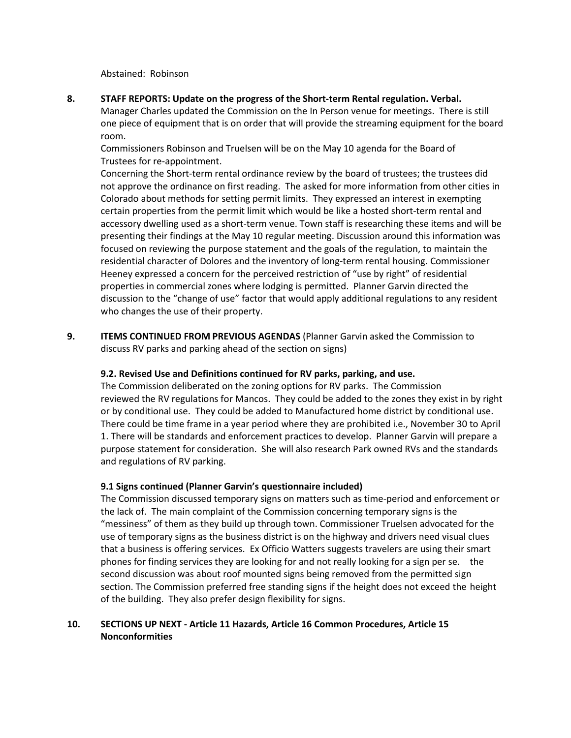Abstained: Robinson

**8. STAFF REPORTS: Update on the progress of the Short-term Rental regulation. Verbal.**  Manager Charles updated the Commission on the In Person venue for meetings. There is still one piece of equipment that is on order that will provide the streaming equipment for the board room.

Commissioners Robinson and Truelsen will be on the May 10 agenda for the Board of Trustees for re-appointment.

Concerning the Short-term rental ordinance review by the board of trustees; the trustees did not approve the ordinance on first reading. The asked for more information from other cities in Colorado about methods for setting permit limits. They expressed an interest in exempting certain properties from the permit limit which would be like a hosted short-term rental and accessory dwelling used as a short-term venue. Town staff is researching these items and will be presenting their findings at the May 10 regular meeting. Discussion around this information was focused on reviewing the purpose statement and the goals of the regulation, to maintain the residential character of Dolores and the inventory of long-term rental housing. Commissioner Heeney expressed a concern for the perceived restriction of "use by right" of residential properties in commercial zones where lodging is permitted. Planner Garvin directed the discussion to the "change of use" factor that would apply additional regulations to any resident who changes the use of their property.

**9. ITEMS CONTINUED FROM PREVIOUS AGENDAS** (Planner Garvin asked the Commission to discuss RV parks and parking ahead of the section on signs)

## **9.2. Revised Use and Definitions continued for RV parks, parking, and use.**

The Commission deliberated on the zoning options for RV parks. The Commission reviewed the RV regulations for Mancos. They could be added to the zones they exist in by right or by conditional use. They could be added to Manufactured home district by conditional use. There could be time frame in a year period where they are prohibited i.e., November 30 to April 1. There will be standards and enforcement practices to develop. Planner Garvin will prepare a purpose statement for consideration. She will also research Park owned RVs and the standards and regulations of RV parking.

### **9.1 Signs continued (Planner Garvin's questionnaire included)**

The Commission discussed temporary signs on matters such as time-period and enforcement or the lack of. The main complaint of the Commission concerning temporary signs is the "messiness" of them as they build up through town. Commissioner Truelsen advocated for the use of temporary signs as the business district is on the highway and drivers need visual clues that a business is offering services. Ex Officio Watters suggests travelers are using their smart phones for finding services they are looking for and not really looking for a sign per se. the second discussion was about roof mounted signs being removed from the permitted sign section. The Commission preferred free standing signs if the height does not exceed the height of the building. They also prefer design flexibility for signs.

## **10. SECTIONS UP NEXT - Article 11 Hazards, Article 16 Common Procedures, Article 15 Nonconformities**